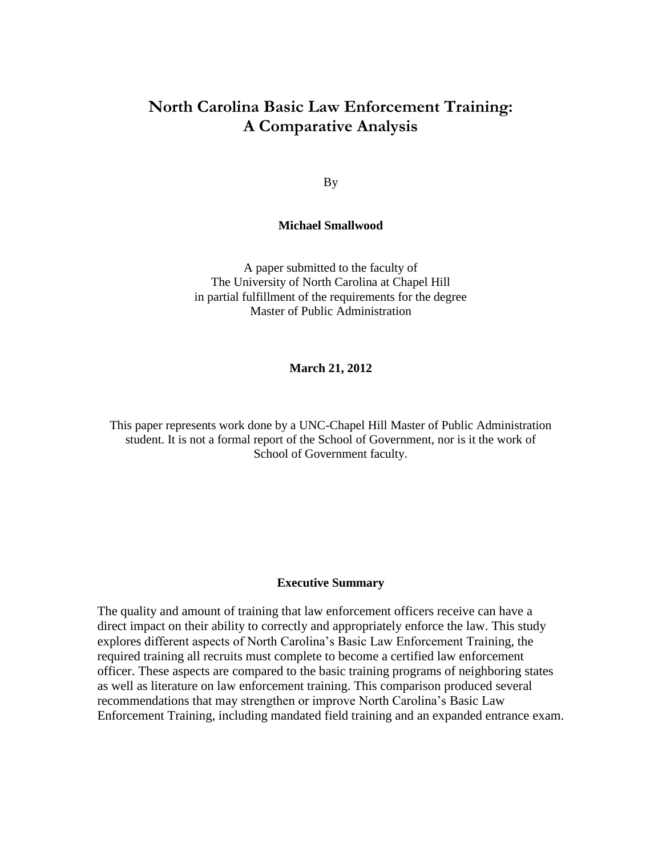# **North Carolina Basic Law Enforcement Training: A Comparative Analysis**

By

#### **Michael Smallwood**

A paper submitted to the faculty of The University of North Carolina at Chapel Hill in partial fulfillment of the requirements for the degree Master of Public Administration

**March 21, 2012**

This paper represents work done by a UNC-Chapel Hill Master of Public Administration student. It is not a formal report of the School of Government, nor is it the work of School of Government faculty.

#### **Executive Summary**

The quality and amount of training that law enforcement officers receive can have a direct impact on their ability to correctly and appropriately enforce the law. This study explores different aspects of North Carolina's Basic Law Enforcement Training, the required training all recruits must complete to become a certified law enforcement officer. These aspects are compared to the basic training programs of neighboring states as well as literature on law enforcement training. This comparison produced several recommendations that may strengthen or improve North Carolina's Basic Law Enforcement Training, including mandated field training and an expanded entrance exam.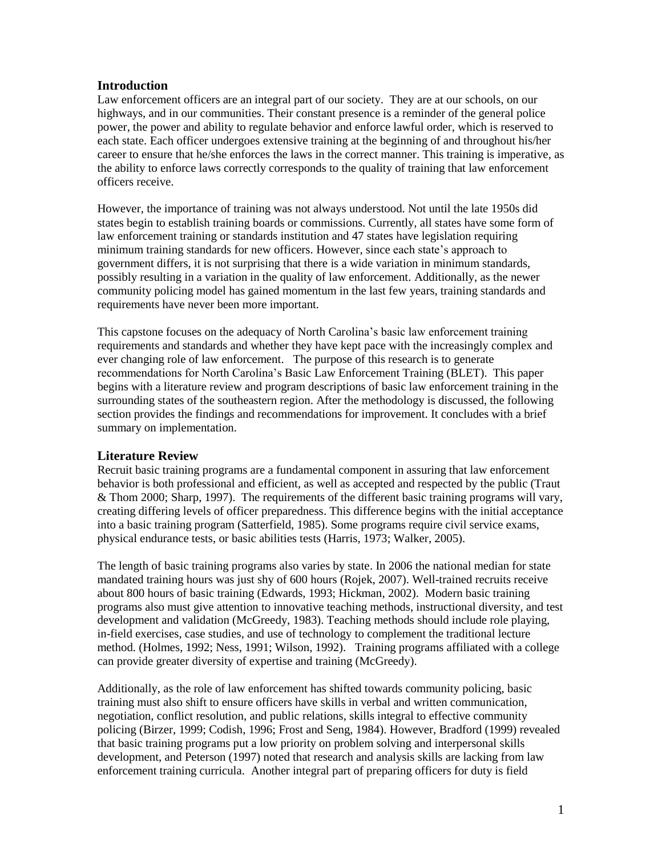#### **Introduction**

Law enforcement officers are an integral part of our society. They are at our schools, on our highways, and in our communities. Their constant presence is a reminder of the general police power, the power and ability to regulate behavior and enforce lawful order, which is reserved to each state. Each officer undergoes extensive training at the beginning of and throughout his/her career to ensure that he/she enforces the laws in the correct manner. This training is imperative, as the ability to enforce laws correctly corresponds to the quality of training that law enforcement officers receive.

However, the importance of training was not always understood. Not until the late 1950s did states begin to establish training boards or commissions. Currently, all states have some form of law enforcement training or standards institution and 47 states have legislation requiring minimum training standards for new officers. However, since each state's approach to government differs, it is not surprising that there is a wide variation in minimum standards, possibly resulting in a variation in the quality of law enforcement. Additionally, as the newer community policing model has gained momentum in the last few years, training standards and requirements have never been more important.

This capstone focuses on the adequacy of North Carolina's basic law enforcement training requirements and standards and whether they have kept pace with the increasingly complex and ever changing role of law enforcement. The purpose of this research is to generate recommendations for North Carolina's Basic Law Enforcement Training (BLET). This paper begins with a literature review and program descriptions of basic law enforcement training in the surrounding states of the southeastern region. After the methodology is discussed, the following section provides the findings and recommendations for improvement. It concludes with a brief summary on implementation.

# **Literature Review**

Recruit basic training programs are a fundamental component in assuring that law enforcement behavior is both professional and efficient, as well as accepted and respected by the public (Traut & Thom 2000; Sharp, 1997). The requirements of the different basic training programs will vary, creating differing levels of officer preparedness. This difference begins with the initial acceptance into a basic training program (Satterfield, 1985). Some programs require civil service exams, physical endurance tests, or basic abilities tests (Harris, 1973; Walker, 2005).

The length of basic training programs also varies by state. In 2006 the national median for state mandated training hours was just shy of 600 hours (Rojek, 2007). Well-trained recruits receive about 800 hours of basic training (Edwards, 1993; Hickman, 2002). Modern basic training programs also must give attention to innovative teaching methods, instructional diversity, and test development and validation (McGreedy, 1983). Teaching methods should include role playing, in-field exercises, case studies, and use of technology to complement the traditional lecture method. (Holmes, 1992; Ness, 1991; Wilson, 1992). Training programs affiliated with a college can provide greater diversity of expertise and training (McGreedy).

Additionally, as the role of law enforcement has shifted towards community policing, basic training must also shift to ensure officers have skills in verbal and written communication, negotiation, conflict resolution, and public relations, skills integral to effective community policing (Birzer, 1999; Codish, 1996; Frost and Seng, 1984). However, Bradford (1999) revealed that basic training programs put a low priority on problem solving and interpersonal skills development, and Peterson (1997) noted that research and analysis skills are lacking from law enforcement training curricula. Another integral part of preparing officers for duty is field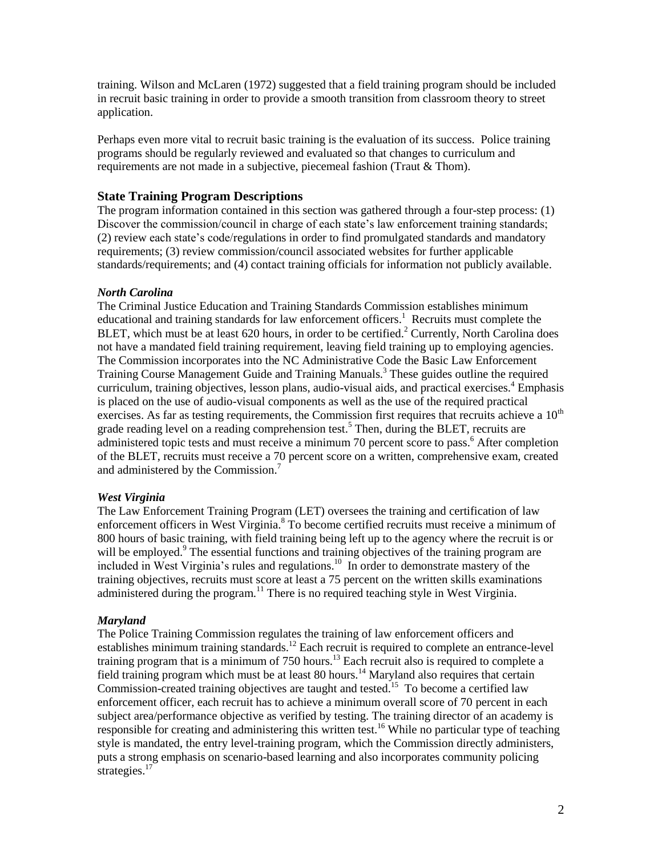training. Wilson and McLaren (1972) suggested that a field training program should be included in recruit basic training in order to provide a smooth transition from classroom theory to street application.

Perhaps even more vital to recruit basic training is the evaluation of its success. Police training programs should be regularly reviewed and evaluated so that changes to curriculum and requirements are not made in a subjective, piecemeal fashion (Traut & Thom).

#### **State Training Program Descriptions**

The program information contained in this section was gathered through a four-step process: (1) Discover the commission/council in charge of each state's law enforcement training standards; (2) review each state's code/regulations in order to find promulgated standards and mandatory requirements; (3) review commission/council associated websites for further applicable standards/requirements; and (4) contact training officials for information not publicly available.

#### *North Carolina*

The Criminal Justice Education and Training Standards Commission establishes minimum educational and training standards for law enforcement officers.<sup>1</sup> Recruits must complete the BLET, which must be at least  $620$  hours, in order to be certified.<sup>2</sup> Currently, North Carolina does not have a mandated field training requirement, leaving field training up to employing agencies. The Commission incorporates into the NC Administrative Code the Basic Law Enforcement Training Course Management Guide and Training Manuals.<sup>3</sup> These guides outline the required curriculum, training objectives, lesson plans, audio-visual aids, and practical exercises.<sup>4</sup> Emphasis is placed on the use of audio-visual components as well as the use of the required practical exercises. As far as testing requirements, the Commission first requires that recruits achieve a  $10<sup>th</sup>$ grade reading level on a reading comprehension test.<sup>5</sup> Then, during the BLET, recruits are administered topic tests and must receive a minimum 70 percent score to pass.<sup>6</sup> After completion of the BLET, recruits must receive a 70 percent score on a written, comprehensive exam, created and administered by the Commission.<sup>7</sup>

#### *West Virginia*

The Law Enforcement Training Program (LET) oversees the training and certification of law enforcement officers in West Virginia.<sup>8</sup> To become certified recruits must receive a minimum of 800 hours of basic training, with field training being left up to the agency where the recruit is or will be employed.<sup>9</sup> The essential functions and training objectives of the training program are included in West Virginia's rules and regulations.<sup>10</sup> In order to demonstrate mastery of the training objectives, recruits must score at least a 75 percent on the written skills examinations administered during the program.<sup>11</sup> There is no required teaching style in West Virginia.

#### *Maryland*

The Police Training Commission regulates the training of law enforcement officers and establishes minimum training standards.<sup>12</sup> Each recruit is required to complete an entrance-level training program that is a minimum of 750 hours.<sup>13</sup> Each recruit also is required to complete a field training program which must be at least 80 hours.<sup>14</sup> Maryland also requires that certain Commission-created training objectives are taught and tested.<sup>15</sup> To become a certified law enforcement officer, each recruit has to achieve a minimum overall score of 70 percent in each subject area/performance objective as verified by testing. The training director of an academy is responsible for creating and administering this written test.<sup>16</sup> While no particular type of teaching style is mandated, the entry level-training program, which the Commission directly administers, puts a strong emphasis on scenario-based learning and also incorporates community policing strategies. $17$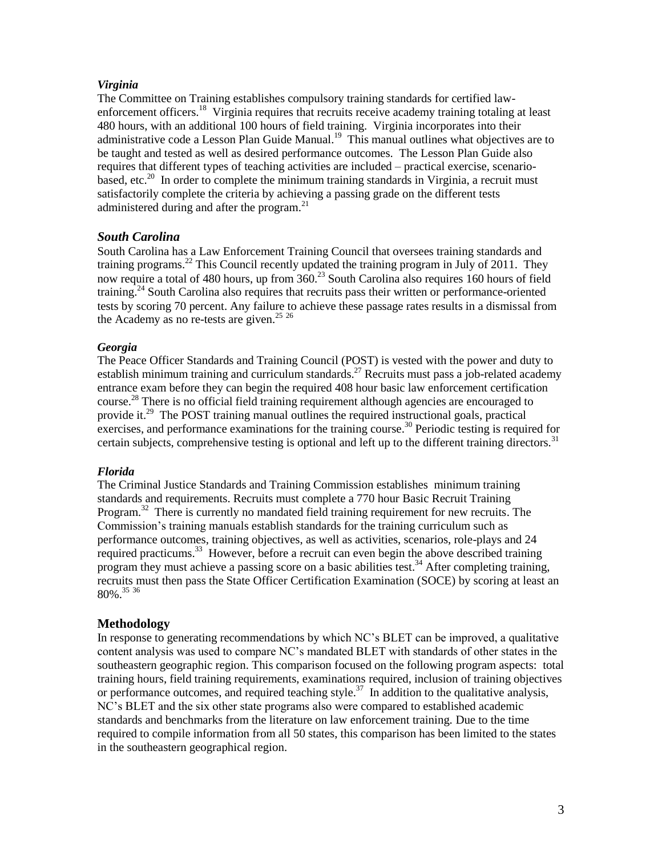#### *Virginia*

The Committee on Training establishes compulsory training standards for certified lawenforcement officers.<sup>18</sup> Virginia requires that recruits receive academy training totaling at least 480 hours, with an additional 100 hours of field training. Virginia incorporates into their administrative code a Lesson Plan Guide Manual.<sup>19</sup> This manual outlines what objectives are to be taught and tested as well as desired performance outcomes. The Lesson Plan Guide also requires that different types of teaching activities are included – practical exercise, scenariobased, etc.<sup>20</sup> In order to complete the minimum training standards in Virginia, a recruit must satisfactorily complete the criteria by achieving a passing grade on the different tests administered during and after the program.<sup>21</sup>

# *South Carolina*

South Carolina has a Law Enforcement Training Council that oversees training standards and training programs.<sup>22</sup> This Council recently updated the training program in July of 2011. They now require a total of 480 hours, up from 360.<sup>23</sup> South Carolina also requires 160 hours of field training.<sup>24</sup> South Carolina also requires that recruits pass their written or performance-oriented tests by scoring 70 percent. Any failure to achieve these passage rates results in a dismissal from the Academy as no re-tests are given. $2526$ 

#### *Georgia*

The Peace Officer Standards and Training Council (POST) is vested with the power and duty to establish minimum training and curriculum standards.<sup>27</sup> Recruits must pass a job-related academy entrance exam before they can begin the required 408 hour basic law enforcement certification course.<sup>28</sup> There is no official field training requirement although agencies are encouraged to provide it.<sup>29</sup> The POST training manual outlines the required instructional goals, practical exercises, and performance examinations for the training course.<sup>30</sup> Periodic testing is required for certain subjects, comprehensive testing is optional and left up to the different training directors.<sup>31</sup>

# *Florida*

The Criminal Justice Standards and Training Commission establishes minimum training standards and requirements. Recruits must complete a 770 hour Basic Recruit Training Program.<sup>32</sup> There is currently no mandated field training requirement for new recruits. The Commission's training manuals establish standards for the training curriculum such as performance outcomes, training objectives, as well as activities, scenarios, role-plays and 24 required practicums.<sup>33</sup> However, before a recruit can even begin the above described training program they must achieve a passing score on a basic abilities test.<sup>34</sup> After completing training, recruits must then pass the State Officer Certification Examination (SOCE) by scoring at least an 80%. 35 36

# **Methodology**

In response to generating recommendations by which NC's BLET can be improved, a qualitative content analysis was used to compare NC's mandated BLET with standards of other states in the southeastern geographic region. This comparison focused on the following program aspects: total training hours, field training requirements, examinations required, inclusion of training objectives or performance outcomes, and required teaching style.<sup>37</sup> In addition to the qualitative analysis, NC's BLET and the six other state programs also were compared to established academic standards and benchmarks from the literature on law enforcement training. Due to the time required to compile information from all 50 states, this comparison has been limited to the states in the southeastern geographical region.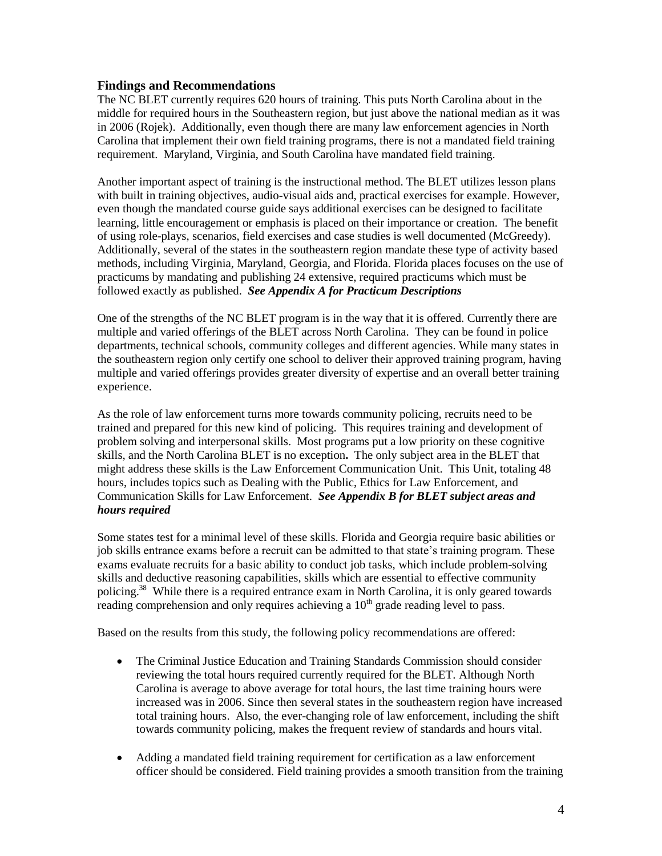#### **Findings and Recommendations**

The NC BLET currently requires 620 hours of training. This puts North Carolina about in the middle for required hours in the Southeastern region, but just above the national median as it was in 2006 (Rojek). Additionally, even though there are many law enforcement agencies in North Carolina that implement their own field training programs, there is not a mandated field training requirement. Maryland, Virginia, and South Carolina have mandated field training.

Another important aspect of training is the instructional method. The BLET utilizes lesson plans with built in training objectives, audio-visual aids and, practical exercises for example. However, even though the mandated course guide says additional exercises can be designed to facilitate learning, little encouragement or emphasis is placed on their importance or creation. The benefit of using role-plays, scenarios, field exercises and case studies is well documented (McGreedy). Additionally, several of the states in the southeastern region mandate these type of activity based methods, including Virginia, Maryland, Georgia, and Florida. Florida places focuses on the use of practicums by mandating and publishing 24 extensive, required practicums which must be followed exactly as published. *See Appendix A for Practicum Descriptions*

One of the strengths of the NC BLET program is in the way that it is offered. Currently there are multiple and varied offerings of the BLET across North Carolina. They can be found in police departments, technical schools, community colleges and different agencies. While many states in the southeastern region only certify one school to deliver their approved training program, having multiple and varied offerings provides greater diversity of expertise and an overall better training experience.

As the role of law enforcement turns more towards community policing, recruits need to be trained and prepared for this new kind of policing. This requires training and development of problem solving and interpersonal skills. Most programs put a low priority on these cognitive skills, and the North Carolina BLET is no exception**.** The only subject area in the BLET that might address these skills is the Law Enforcement Communication Unit. This Unit, totaling 48 hours, includes topics such as Dealing with the Public, Ethics for Law Enforcement, and Communication Skills for Law Enforcement. *See Appendix B for BLET subject areas and hours required*

Some states test for a minimal level of these skills. Florida and Georgia require basic abilities or job skills entrance exams before a recruit can be admitted to that state's training program. These exams evaluate recruits for a basic ability to conduct job tasks, which include problem-solving skills and deductive reasoning capabilities, skills which are essential to effective community policing.<sup>38</sup> While there is a required entrance exam in North Carolina, it is only geared towards reading comprehension and only requires achieving a  $10<sup>th</sup>$  grade reading level to pass.

Based on the results from this study, the following policy recommendations are offered:

- The Criminal Justice Education and Training Standards Commission should consider reviewing the total hours required currently required for the BLET. Although North Carolina is average to above average for total hours, the last time training hours were increased was in 2006. Since then several states in the southeastern region have increased total training hours. Also, the ever-changing role of law enforcement, including the shift towards community policing, makes the frequent review of standards and hours vital.
- Adding a mandated field training requirement for certification as a law enforcement officer should be considered. Field training provides a smooth transition from the training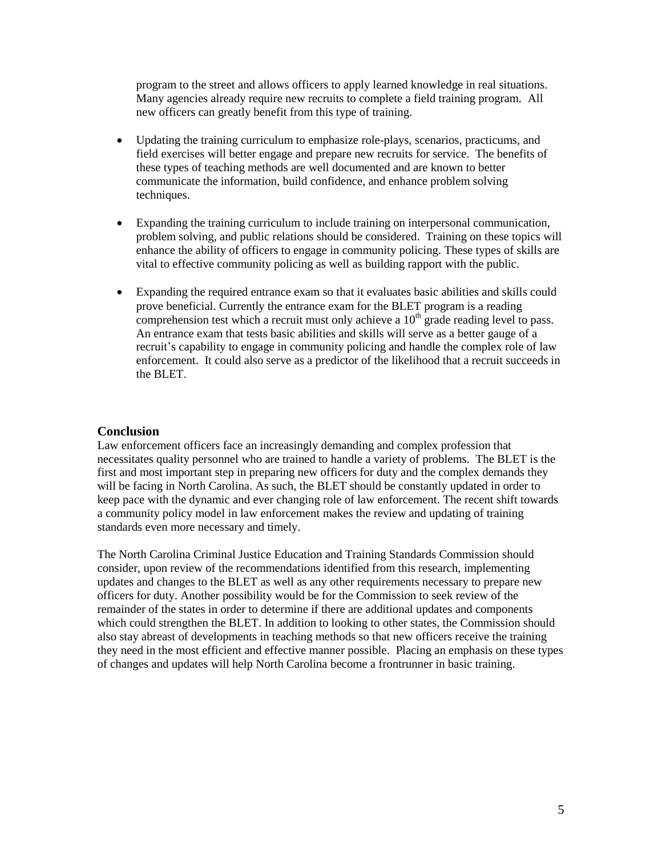program to the street and allows officers to apply learned knowledge in real situations. Many agencies already require new recruits to complete a field training program. All new officers can greatly benefit from this type of training.

- Updating the training curriculum to emphasize role-plays, scenarios, practicums, and field exercises will better engage and prepare new recruits for service. The benefits of these types of teaching methods are well documented and are known to better communicate the information, build confidence, and enhance problem solving techniques.
- Expanding the training curriculum to include training on interpersonal communication, problem solving, and public relations should be considered. Training on these topics will enhance the ability of officers to engage in community policing. These types of skills are vital to effective community policing as well as building rapport with the public.
- Expanding the required entrance exam so that it evaluates basic abilities and skills could prove beneficial. Currently the entrance exam for the BLET program is a reading comprehension test which a recruit must only achieve a  $10<sup>th</sup>$  grade reading level to pass. An entrance exam that tests basic abilities and skills will serve as a better gauge of a recruit's capability to engage in community policing and handle the complex role of law enforcement. It could also serve as a predictor of the likelihood that a recruit succeeds in the BLET.

# **Conclusion**

Law enforcement officers face an increasingly demanding and complex profession that necessitates quality personnel who are trained to handle a variety of problems. The BLET is the first and most important step in preparing new officers for duty and the complex demands they will be facing in North Carolina. As such, the BLET should be constantly updated in order to keep pace with the dynamic and ever changing role of law enforcement. The recent shift towards a community policy model in law enforcement makes the review and updating of training standards even more necessary and timely.

The North Carolina Criminal Justice Education and Training Standards Commission should consider, upon review of the recommendations identified from this research, implementing updates and changes to the BLET as well as any other requirements necessary to prepare new officers for duty. Another possibility would be for the Commission to seek review of the remainder of the states in order to determine if there are additional updates and components which could strengthen the BLET. In addition to looking to other states, the Commission should also stay abreast of developments in teaching methods so that new officers receive the training they need in the most efficient and effective manner possible. Placing an emphasis on these types of changes and updates will help North Carolina become a frontrunner in basic training.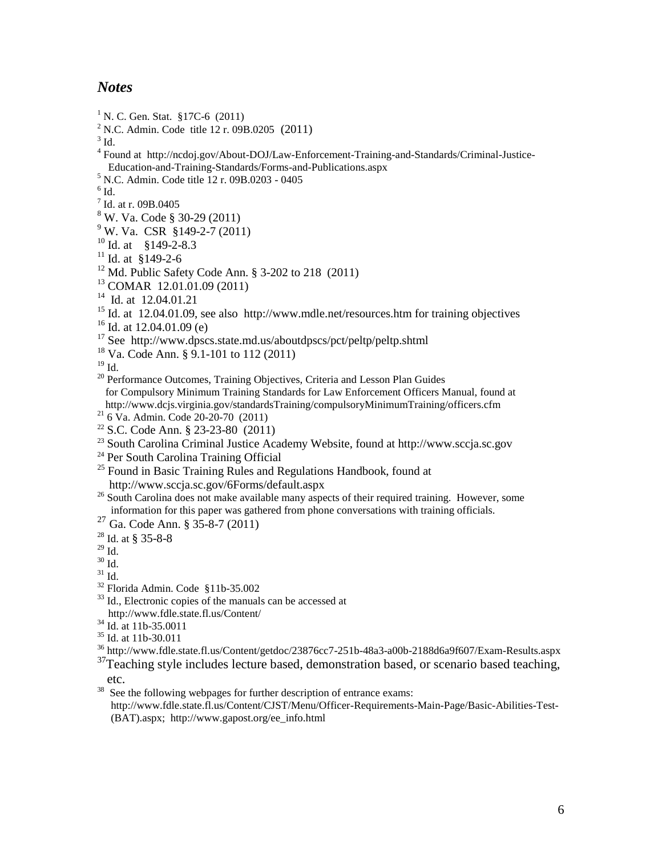# *Notes*

<sup>1</sup> N. C. Gen. Stat. §17C-6  $(2011)$ <sup>2</sup> N.C. Admin. Code title 12 r. 09B.0205 (2011)  $3$  Id. <sup>4</sup> Found at http://ncdoj.gov/About-DOJ/Law-Enforcement-Training-and-Standards/Criminal-Justice- Education-and-Training-Standards/Forms-and-Publications.aspx <sup>5</sup> N.C. Admin. Code title 12 r. 09B.0203 - 0405  $^6$  Id. 7 Id. at r. 09B.0405  $8 \text{ W}$ . Va. Code § 30-29 (2011)  $9^9$  W. Va. CSR §149-2-7 (2011)  $^{10}$  Id. at §149-2-8.3  $11$  Id. at §149-2-6 <sup>12</sup> Md. Public Safety Code Ann. § 3-202 to 218 (2011) <sup>13</sup> COMAR12.01.01.09 (2011) <sup>14</sup> Id. at 12.04.01.21 <sup>15</sup> Id. at 12.04.01.09, see also http://www.mdle.net/resources.htm for training objectives  $^{16}$  Id. at 12.04.01.09 (e) <sup>17</sup> See http://www.dpscs.state.md.us/aboutdpscs/pct/peltp/peltp.shtml <sup>18</sup> Va. Code Ann. § 9.1-101 to 112 (2011)  $19$  Id. <sup>20</sup> Performance Outcomes, Training Objectives, Criteria and Lesson Plan Guides for Compulsory Minimum Training Standards for Law Enforcement Officers Manual, found at http://www.dcjs.virginia.gov/standardsTraining/compulsoryMinimumTraining/officers.cfm  $^{21}$  6 Va. Admin. Code 20-20-70 (2011)  $22$  S.C. Code Ann. § 23-23-80 (2011) <sup>23</sup> South Carolina Criminal Justice Academy Website, found at http://www.sccja.sc.gov <sup>24</sup> Per South Carolina Training Official  $25$  Found in Basic Training Rules and Regulations Handbook, found at http://www.sccja.sc.gov/6Forms/default.aspx <sup>26</sup> South Carolina does not make available many aspects of their required training. However, some information for this paper was gathered from phone conversations with training officials. <sup>27</sup> Ga. Code Ann. § 35-8-7 (2011)  $28$  Id. at § 35-8-8  $^{29}$  Id.  $30$  Id.  $31$  Id. <sup>32</sup> Florida Admin. Code§11b-35.002 <sup>33</sup> Id., Electronic copies of the manuals can be accessed at http://www.fdle.state.fl.us/Content/  $34$  Id. at 11b-35.0011 <sup>35</sup> Id. at 11b-30.011 <sup>36</sup> http://www.fdle.state.fl.us/Content/getdoc/23876cc7-251b-48a3-a00b-2188d6a9f607/Exam-Results.aspx  $37$ Teaching style includes lecture based, demonstration based, or scenario based teaching, etc.

38 See the following webpages for further description of entrance exams: http://www.fdle.state.fl.us/Content/CJST/Menu/Officer-Requirements-Main-Page/Basic-Abilities-Test- (BAT).aspx; http://www.gapost.org/ee\_info.html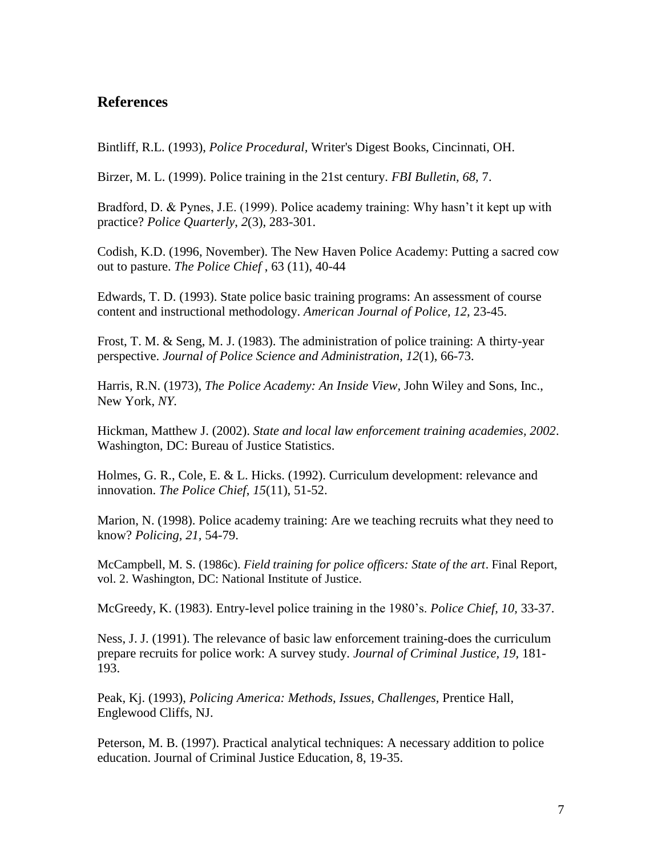# **References**

Bintliff, R.L. (1993), *Police Procedural,* Writer's Digest Books, Cincinnati, OH.

Birzer, M. L. (1999). Police training in the 21st century. *FBI Bulletin, 68,* 7.

Bradford, D. & Pynes, J.E. (1999). Police academy training: Why hasn't it kept up with practice? *Police Quarterly*, *2*(3), 283-301.

Codish, K.D. (1996, November). The New Haven Police Academy: Putting a sacred cow out to pasture. *The Police Chief* , 63 (11), 40-44

Edwards, T. D. (1993). State police basic training programs: An assessment of course content and instructional methodology. *American Journal of Police, 12,* 23-45.

Frost, T. M. & Seng, M. J. (1983). The administration of police training: A thirty-year perspective. *Journal of Police Science and Administration*, *12*(1), 66-73.

Harris, R.N. (1973), *The Police Academy: An Inside View,* John Wiley and Sons, Inc., New York, *NY.*

Hickman, Matthew J. (2002). *State and local law enforcement training academies, 2002*. Washington, DC: Bureau of Justice Statistics.

Holmes, G. R., Cole, E. & L. Hicks. (1992). Curriculum development: relevance and innovation. *The Police Chief*, *15*(11), 51-52.

Marion, N. (1998). Police academy training: Are we teaching recruits what they need to know? *Policing, 21,* 54-79.

McCampbell, M. S. (1986c). *Field training for police officers: State of the art*. Final Report, vol. 2. Washington, DC: National Institute of Justice.

McGreedy, K. (1983). Entry-level police training in the 1980's. *Police Chief, 10,* 33-37.

Ness, J. J. (1991). The relevance of basic law enforcement training-does the curriculum prepare recruits for police work: A survey study. *Journal of Criminal Justice, 19,* 181- 193.

Peak, Kj. (1993), *Policing America: Methods, Issues, Challenges,* Prentice Hall, Englewood Cliffs, NJ.

Peterson, M. B. (1997). Practical analytical techniques: A necessary addition to police education. Journal of Criminal Justice Education, 8, 19-35.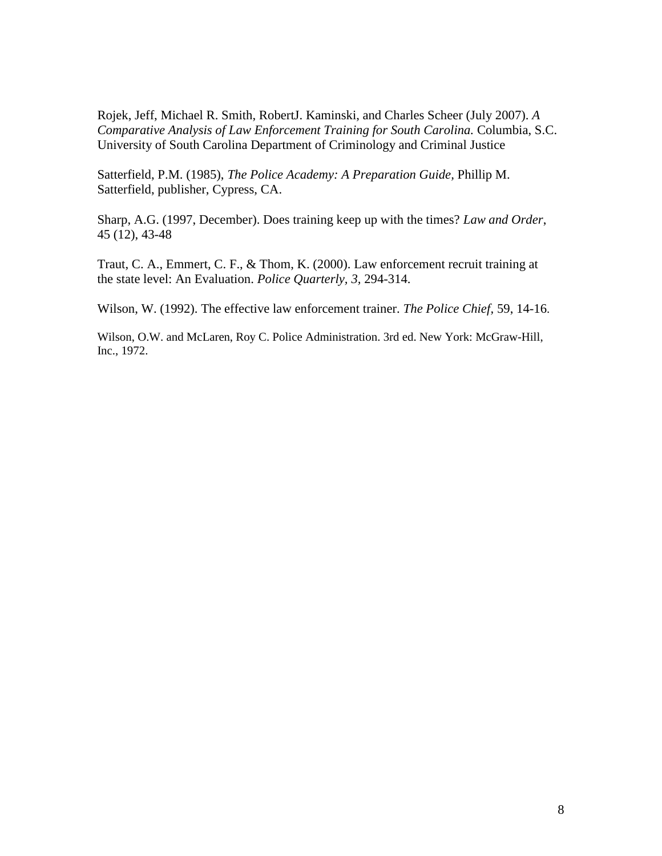Rojek, Jeff, Michael R. Smith, RobertJ. Kaminski, and Charles Scheer (July 2007). *A Comparative Analysis of Law Enforcement Training for South Carolina.* Columbia, S.C. University of South Carolina Department of Criminology and Criminal Justice

Satterfield, P.M. (1985), *The Police Academy: A Preparation Guide,* Phillip M. Satterfield, publisher, Cypress, CA.

Sharp, A.G. (1997, December). Does training keep up with the times? *Law and Order*, 45 (12), 43-48

Traut, C. A., Emmert, C. F., & Thom, K. (2000). Law enforcement recruit training at the state level: An Evaluation. *Police Quarterly, 3,* 294-314.

Wilson, W. (1992). The effective law enforcement trainer. *The Police Chief,* 59, 14-16.

Wilson, O.W. and McLaren, Roy C. Police Administration. 3rd ed. New York: McGraw-Hill, Inc., 1972.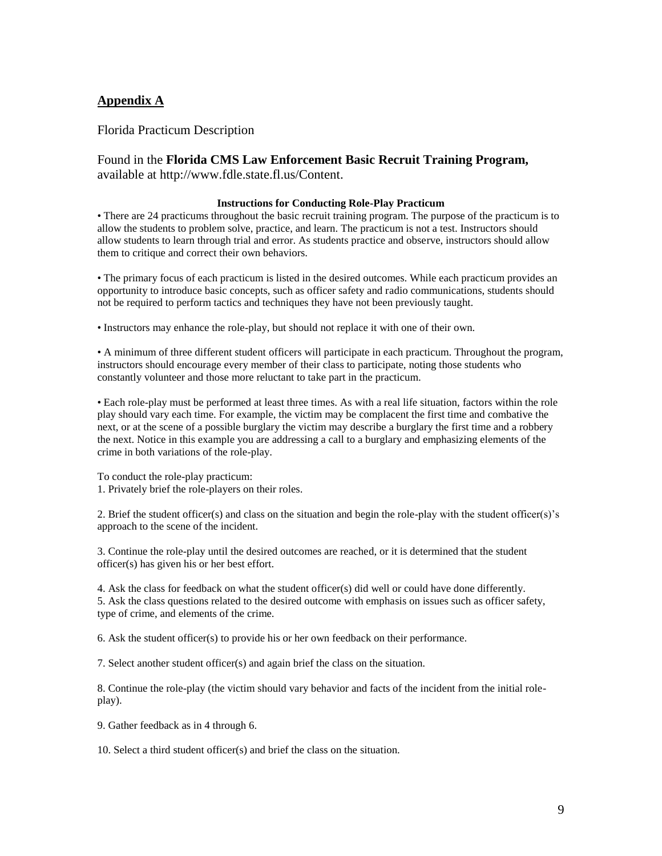### **Appendix A**

Florida Practicum Description

#### Found in the **Florida CMS Law Enforcement Basic Recruit Training Program,**  available at http://www.fdle.state.fl.us/Content.

#### **Instructions for Conducting Role-Play Practicum**

• There are 24 practicums throughout the basic recruit training program. The purpose of the practicum is to allow the students to problem solve, practice, and learn. The practicum is not a test. Instructors should allow students to learn through trial and error. As students practice and observe, instructors should allow them to critique and correct their own behaviors.

• The primary focus of each practicum is listed in the desired outcomes. While each practicum provides an opportunity to introduce basic concepts, such as officer safety and radio communications, students should not be required to perform tactics and techniques they have not been previously taught.

• Instructors may enhance the role-play, but should not replace it with one of their own.

• A minimum of three different student officers will participate in each practicum. Throughout the program, instructors should encourage every member of their class to participate, noting those students who constantly volunteer and those more reluctant to take part in the practicum.

• Each role-play must be performed at least three times. As with a real life situation, factors within the role play should vary each time. For example, the victim may be complacent the first time and combative the next, or at the scene of a possible burglary the victim may describe a burglary the first time and a robbery the next. Notice in this example you are addressing a call to a burglary and emphasizing elements of the crime in both variations of the role-play.

To conduct the role-play practicum:

1. Privately brief the role-players on their roles.

2. Brief the student officer(s) and class on the situation and begin the role-play with the student officer(s)'s approach to the scene of the incident.

3. Continue the role-play until the desired outcomes are reached, or it is determined that the student officer(s) has given his or her best effort.

4. Ask the class for feedback on what the student officer(s) did well or could have done differently. 5. Ask the class questions related to the desired outcome with emphasis on issues such as officer safety, type of crime, and elements of the crime.

6. Ask the student officer(s) to provide his or her own feedback on their performance.

7. Select another student officer(s) and again brief the class on the situation.

8. Continue the role-play (the victim should vary behavior and facts of the incident from the initial roleplay).

9. Gather feedback as in 4 through 6.

10. Select a third student officer(s) and brief the class on the situation.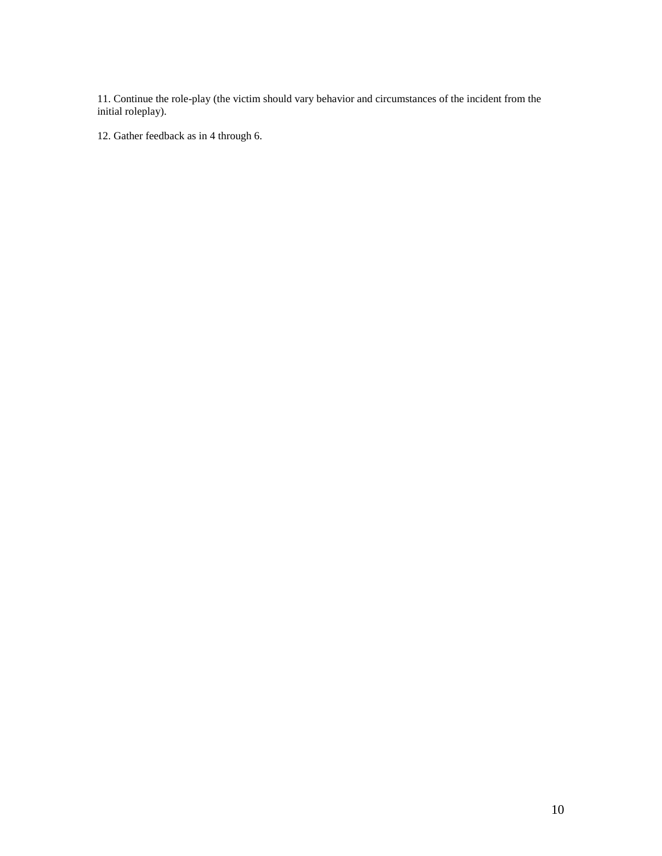11. Continue the role-play (the victim should vary behavior and circumstances of the incident from the initial roleplay).

12. Gather feedback as in 4 through 6.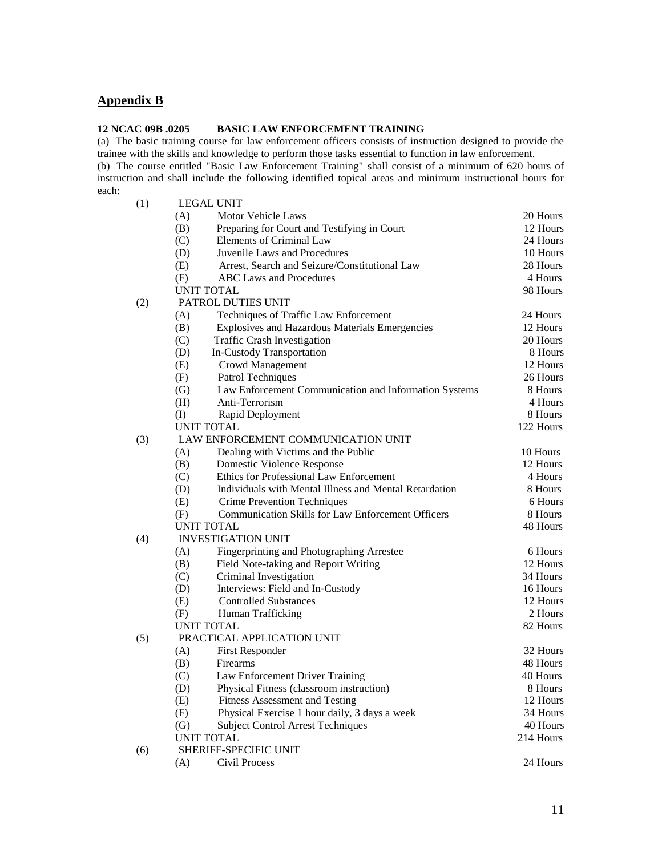### **Appendix B**

#### **12 NCAC 09B .0205 BASIC LAW ENFORCEMENT TRAINING**

(a) The basic training course for law enforcement officers consists of instruction designed to provide the trainee with the skills and knowledge to perform those tasks essential to function in law enforcement.

(b) The course entitled "Basic Law Enforcement Training" shall consist of a minimum of 620 hours of instruction and shall include the following identified topical areas and minimum instructional hours for each: (1) LEGAL UNIT

| (1) | PPOUL OBJI                                                    |           |
|-----|---------------------------------------------------------------|-----------|
|     | (A)<br>Motor Vehicle Laws                                     | 20 Hours  |
|     | (B)<br>Preparing for Court and Testifying in Court            | 12 Hours  |
|     | Elements of Criminal Law<br>(C)                               | 24 Hours  |
|     | Juvenile Laws and Procedures<br>(D)                           | 10 Hours  |
|     | Arrest, Search and Seizure/Constitutional Law<br>(E)          | 28 Hours  |
|     | <b>ABC</b> Laws and Procedures<br>(F)                         | 4 Hours   |
|     | <b>UNIT TOTAL</b>                                             | 98 Hours  |
| (2) | PATROL DUTIES UNIT                                            |           |
|     | (A)<br>Techniques of Traffic Law Enforcement                  | 24 Hours  |
|     | Explosives and Hazardous Materials Emergencies<br>(B)         | 12 Hours  |
|     | <b>Traffic Crash Investigation</b><br>(C)                     | 20 Hours  |
|     | In-Custody Transportation<br>(D)                              | 8 Hours   |
|     | (E)<br>Crowd Management                                       | 12 Hours  |
|     | (F)<br><b>Patrol Techniques</b>                               | 26 Hours  |
|     | (G)<br>Law Enforcement Communication and Information Systems  | 8 Hours   |
|     | Anti-Terrorism<br>(H)                                         | 4 Hours   |
|     | $\rm (I)$<br>Rapid Deployment                                 | 8 Hours   |
|     | <b>UNIT TOTAL</b>                                             | 122 Hours |
| (3) | LAW ENFORCEMENT COMMUNICATION UNIT                            |           |
|     | (A)<br>Dealing with Victims and the Public                    | 10 Hours  |
|     | (B)<br>Domestic Violence Response                             | 12 Hours  |
|     | Ethics for Professional Law Enforcement<br>(C)                | 4 Hours   |
|     | (D)<br>Individuals with Mental Illness and Mental Retardation | 8 Hours   |
|     | (E)<br><b>Crime Prevention Techniques</b>                     | 6 Hours   |
|     | Communication Skills for Law Enforcement Officers<br>(F)      | 8 Hours   |
|     | <b>UNIT TOTAL</b>                                             | 48 Hours  |
| (4) | <b>INVESTIGATION UNIT</b>                                     |           |
|     | (A)<br>Fingerprinting and Photographing Arrestee              | 6 Hours   |
|     | (B)<br>Field Note-taking and Report Writing                   | 12 Hours  |
|     | (C)<br>Criminal Investigation                                 | 34 Hours  |
|     | Interviews: Field and In-Custody<br>(D)                       | 16 Hours  |
|     | <b>Controlled Substances</b><br>(E)                           | 12 Hours  |
|     | (F)<br>Human Trafficking                                      | 2 Hours   |
|     | <b>UNIT TOTAL</b>                                             | 82 Hours  |
| (5) | PRACTICAL APPLICATION UNIT                                    |           |
|     | (A)<br><b>First Responder</b>                                 | 32 Hours  |
|     | (B)<br>Firearms                                               | 48 Hours  |
|     | (C)<br>Law Enforcement Driver Training                        | 40 Hours  |
|     | Physical Fitness (classroom instruction)<br>(D)               | 8 Hours   |
|     | (E)<br><b>Fitness Assessment and Testing</b>                  | 12 Hours  |
|     | (F)<br>Physical Exercise 1 hour daily, 3 days a week          | 34 Hours  |
|     | <b>Subject Control Arrest Techniques</b><br>(G)               | 40 Hours  |
|     | <b>UNIT TOTAL</b>                                             | 214 Hours |
| (6) | SHERIFF-SPECIFIC UNIT                                         |           |
|     | (A)<br>Civil Process                                          | 24 Hours  |
|     |                                                               |           |